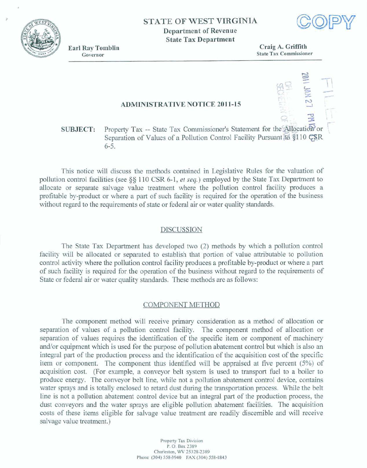**STATE OF WEST VIRGINIA Department of Revenue State Tax Department** 



-

**Earl Ray Tomblin** Governor

**Craig A. Griffith State Tax Commissianer** 

## **ADMINISTRATIVE NOTICE 2011-15**

# **SUBJECT:** Property Tax -- State Tax Commissioner's Statement for the Allocation or **Separation of Values of a Pollution Control Facility Pursuant <del>id</del>**  $$10$  **<del>CS</del>R 6-5.**

Tfiis **notice** will **discuss** the **methods** contained **in Legislative Rules for the valuation of**  pollution **conwoI facilities (see 85** 1 10 **CSR** 6-1, *et seq.)* empIoyed **by the State** Tax Department **to allocate or separate salvage** value treatment **where** the **pollution** control **facility produces a profitable** by-product **or where a part of such facility is** required **for the operation of the business without regard** to the requirements of **state or** federal air or water quality standards.

#### **DISCUSSION**

**The State** Tax Department **has developed two (2)** methods **by which a pollution** control **facility** will be allocated or separated to establish that portion of value attributable to pollution control activity where **the** pollution control **facility produces a profitable by-product or where a part of such** facility **is** required **fbr the** operation of the business without **regd to the requirements** of  $State$  or *federal air or water quality standards. These methods are as follows:* 

### **COMPONENT METHOD**

**The** component method **will receive primary** consideration **as** a mefiod **of** allocation **or separation of** values **of a** pollution **mnml** facility. **The component** method **of allocation or separation of values requires the** identification of **the** *speak* **item** or **component of** machinery and/or equipment which **is** used for **the purpose** of **pollution** abatement control but which **is also an**  integral part **of the production process and the** identification of the **acquisition cost of** the **specific item or component The component** thus identified will **be appraised at five percent (5%) of acquisition** cost. For **example, a** conveyor belt **system is used to** transport fuel to **a bailer** to **produce energy.** The **conveyor** belt **line, while** not **a pollution abatement** coakrol **device,** contains water **sprays and is totally enclosed to retard** dust during the tmxportation **process. While the belt**  line is not a pollution abatement control device but an integral part of the production process, the dust **conveyors** and **the water** sprays **are eligible pollution** abatement **facilities.** The acquisition **costs of** fhese **items eligible for salvage value treatment** are **readily discernible and will receive salvage** value treatment.)

> **Property Tax Division P. 0. Bax 2389**  Charleston, WV 25328-2389 **Phone** (304) 558-3940 **FAX** (304) 558-1843